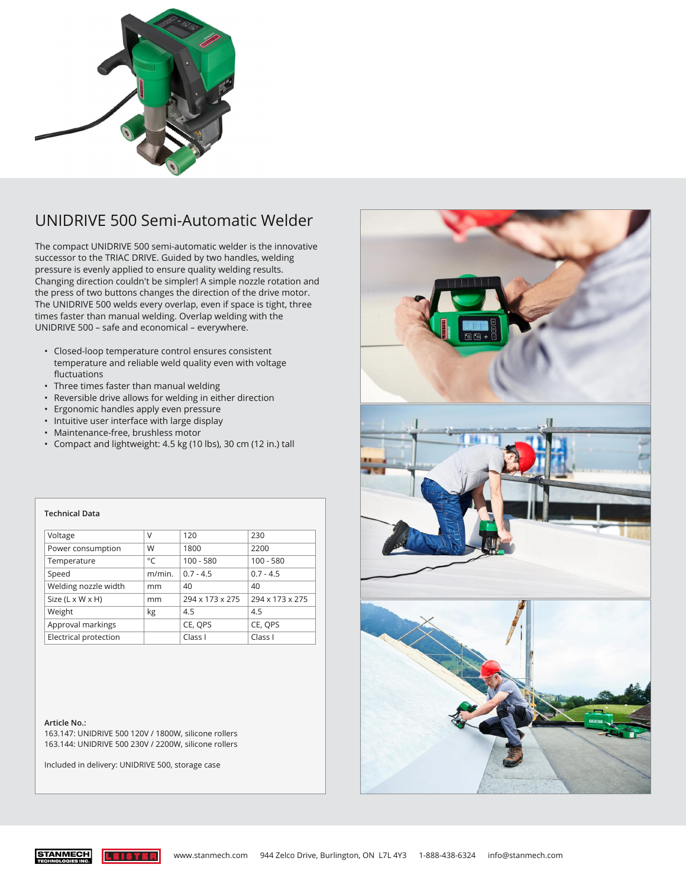

## UNIDRIVE 500 Semi-Automatic Welder

The compact UNIDRIVE 500 semi-automatic welder is the innovative successor to the TRIAC DRIVE. Guided by two handles, welding pressure is evenly applied to ensure quality welding results. Changing direction couldn't be simpler! A simple nozzle rotation and the press of two buttons changes the direction of the drive motor. The UNIDRIVE 500 welds every overlap, even if space is tight, three times faster than manual welding. Overlap welding with the UNIDRIVE 500 – safe and economical – everywhere.

- Closed-loop temperature control ensures consistent temperature and reliable weld quality even with voltage fluctuations
- Three times faster than manual welding
- Reversible drive allows for welding in either direction
- Ergonomic handles apply even pressure
- Intuitive user interface with large display
- Maintenance-free, brushless motor
- Compact and lightweight: 4.5 kg (10 lbs), 30 cm (12 in.) tall

| Voltage                      | V      | 120             | 230                |
|------------------------------|--------|-----------------|--------------------|
| Power consumption            | W      | 1800            | 2200               |
| Temperature                  | °C     | $100 - 580$     | $100 - 580$        |
| Speed                        | m/min. | $0.7 - 4.5$     | $0.7 - 4.5$        |
| Welding nozzle width         | mm     | 40              | 40                 |
| Size $(L \times W \times H)$ | mm     | 294 x 173 x 275 | 294 x 173 x 275    |
| Weight                       | kg     | 4.5             | 4.5                |
| Approval markings            |        | CE, OPS         | CE, OPS            |
| Electrical protection        |        | Class I         | Class <sub>I</sub> |

## **Article No.:**

**Technical Data**

163.147: UNIDRIVE 500 120V / 1800W, silicone rollers 163.144: UNIDRIVE 500 230V / 2200W, silicone rollers

Included in delivery: UNIDRIVE 500, storage case